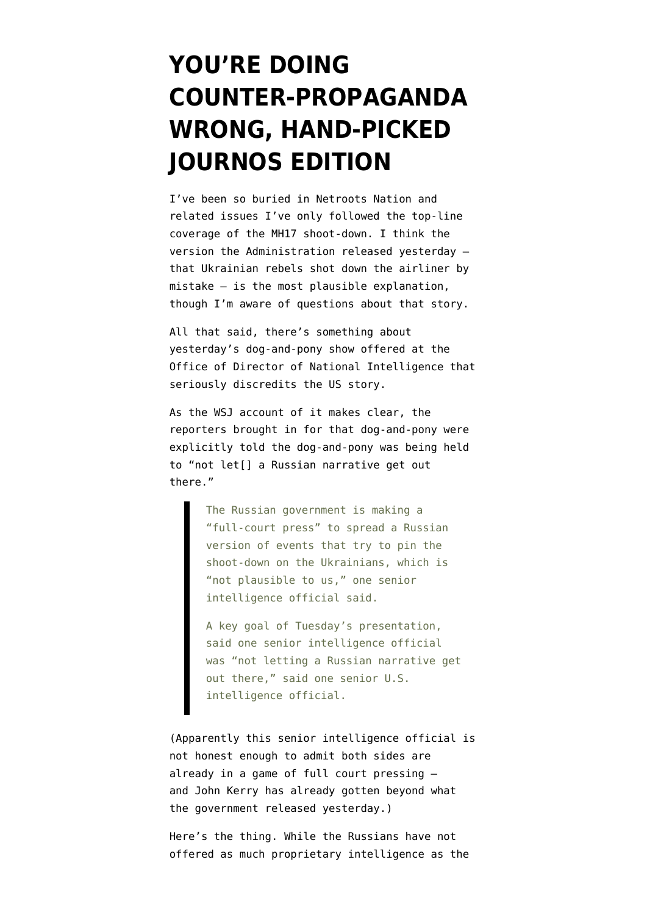## **[YOU'RE DOING](https://www.emptywheel.net/2014/07/23/youre-doing-counter-propaganda-wrong-hand-picked-journos-edition/) [COUNTER-PROPAGANDA](https://www.emptywheel.net/2014/07/23/youre-doing-counter-propaganda-wrong-hand-picked-journos-edition/) [WRONG, HAND-PICKED](https://www.emptywheel.net/2014/07/23/youre-doing-counter-propaganda-wrong-hand-picked-journos-edition/) [JOURNOS EDITION](https://www.emptywheel.net/2014/07/23/youre-doing-counter-propaganda-wrong-hand-picked-journos-edition/)**

I've been so buried in Netroots Nation and related issues I've only followed the top-line coverage of the MH17 shoot-down. I think the version the Administration released yesterday that Ukrainian rebels shot down the airliner by mistake — is the most plausible explanation, though I'm aware of [questions about that story.](http://consortiumnews.com/2014/07/20/what-did-us-spy-satellites-see-in-ukraine/)

All that said, there's something about yesterday's dog-and-pony show offered at the Office of Director of National Intelligence that seriously discredits the US story.

As the WSJ account of it makes clear, the reporters brought in for that dog-and-pony were [explicitly told](http://online.wsj.com/articles/u-s-officials-lay-out-case-against-russians-1406063846) the dog-and-pony was being held to "not let[] a Russian narrative get out there."

> The Russian government is making a "full-court press" to spread a Russian version of events that try to pin the shoot-down on the Ukrainians, which is "not plausible to us," one senior intelligence official said.

A key goal of Tuesday's presentation, said one senior intelligence official was "not letting a Russian narrative get out there," said one senior U.S. intelligence official.

(Apparently this senior intelligence official is not honest enough to admit both sides are already in a game of full court pressing and John Kerry has already gotten beyond what the government released yesterday.)

Here's the thing. While the Russians have not offered as much proprietary intelligence as the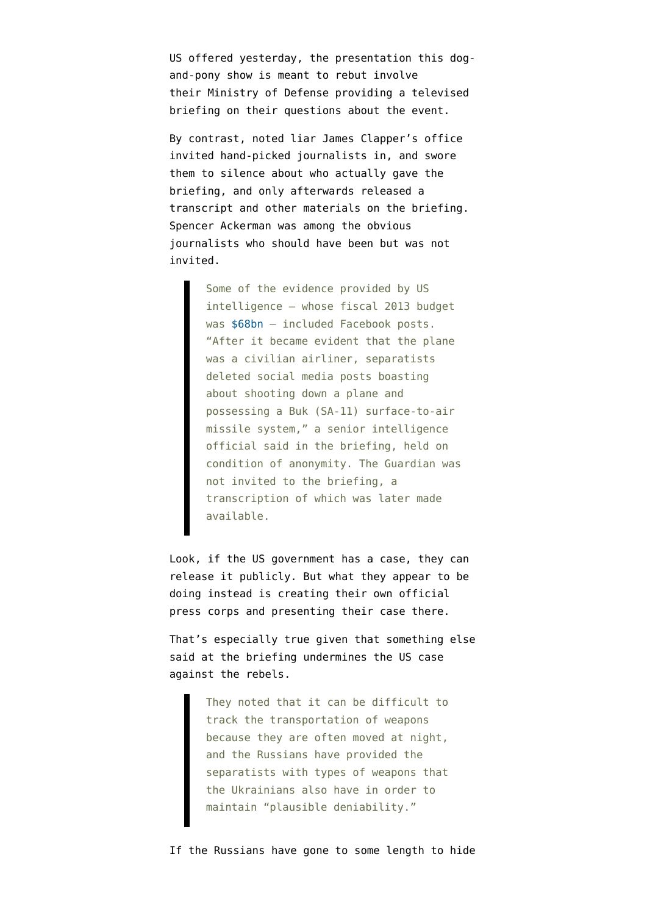US offered yesterday, the presentation this dogand-pony show is meant to rebut involve their [Ministry of Defense providing](http://online.wsj.com/articles/russia-presents-its-account-of-malaysia-airlines-flight-17-crash-1405952441) a televised briefing on their questions about the event.

By contrast, noted liar James Clapper's office invited hand-picked journalists in, and swore them to silence about who actually gave the briefing, and only afterwards released a transcript and other materials on the briefing. Spencer Ackerman was among the obvious journalists [who should have been](http://www.theguardian.com/world/2014/jul/22/mh17-us-intelligence-russia-separatists-report) but was not invited.

> Some of the evidence provided by US intelligence – whose fiscal 2013 budget was [\\$68bn](http://fas.org/irp/budget/) – included Facebook posts. "After it became evident that the plane was a civilian airliner, separatists deleted social media posts boasting about shooting down a plane and possessing a Buk (SA-11) surface-to-air missile system," a senior intelligence official said in the briefing, held on condition of anonymity. The Guardian was not invited to the briefing, a transcription of which was later made available.

Look, if the US government has a case, they can release it publicly. But what they appear to be doing instead is creating their own official press corps and presenting their case there.

That's especially true given that something else said at the briefing undermines the US case against the rebels.

> They noted that it can be difficult to track the transportation of weapons because they are often moved at night, and the Russians have provided the separatists with types of weapons that the Ukrainians also have in order to maintain "plausible deniability."

If the Russians have gone to some length to hide